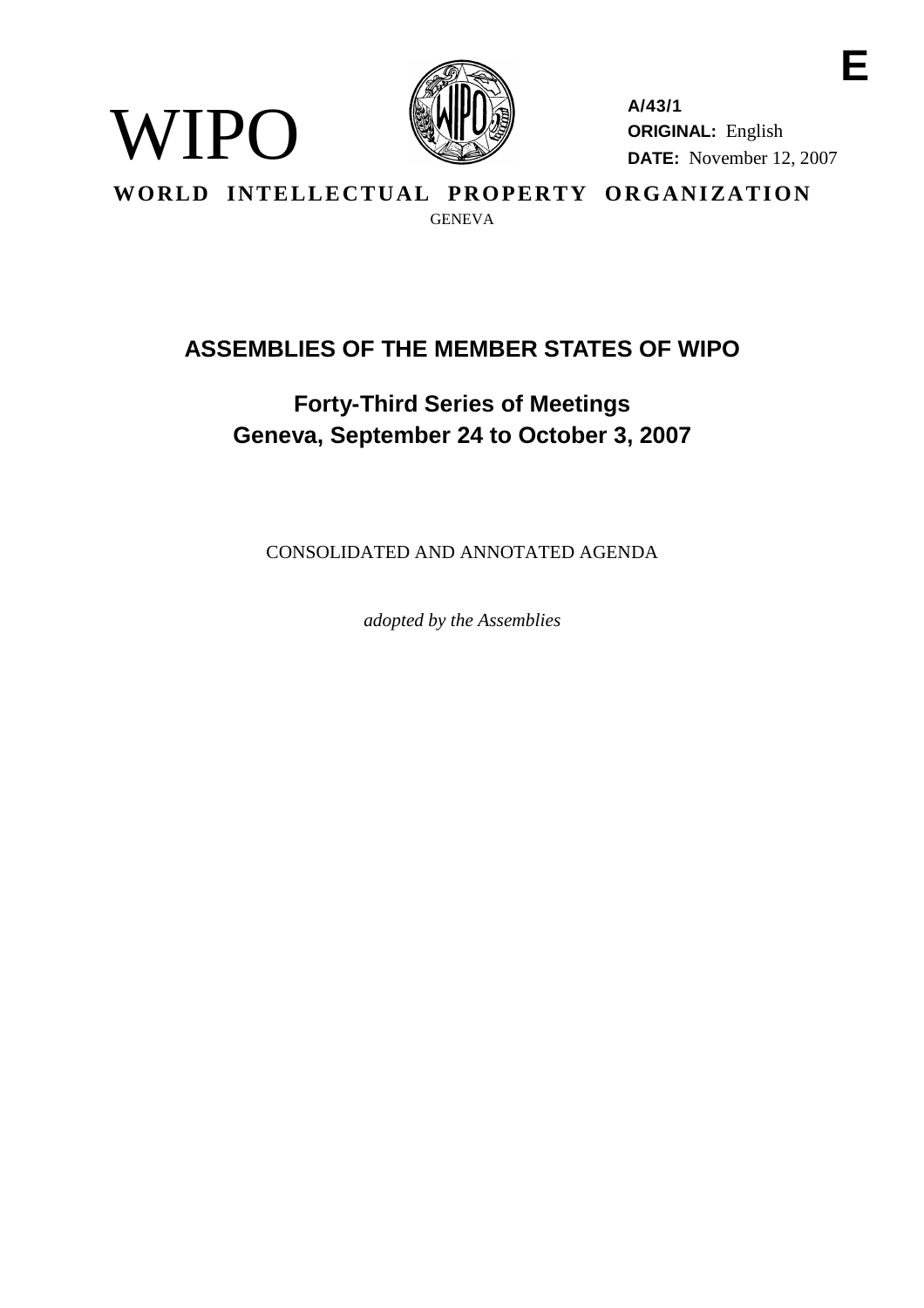

WIPO

**A/43/1 ORIGINAL:** English **DATE:** November 12, 2007

**E**

WORLD INTELLECTUAL PROPERTY ORGANIZATION GENEVA

# **ASSEMBLIES OF THE MEMBER STATES OF WIPO**

# **Forty-Third Series of Meetings Geneva, September 24 to October 3, 2007**

CONSOLIDATED AND ANNOTATED AGENDA

*adopted by the Assemblies*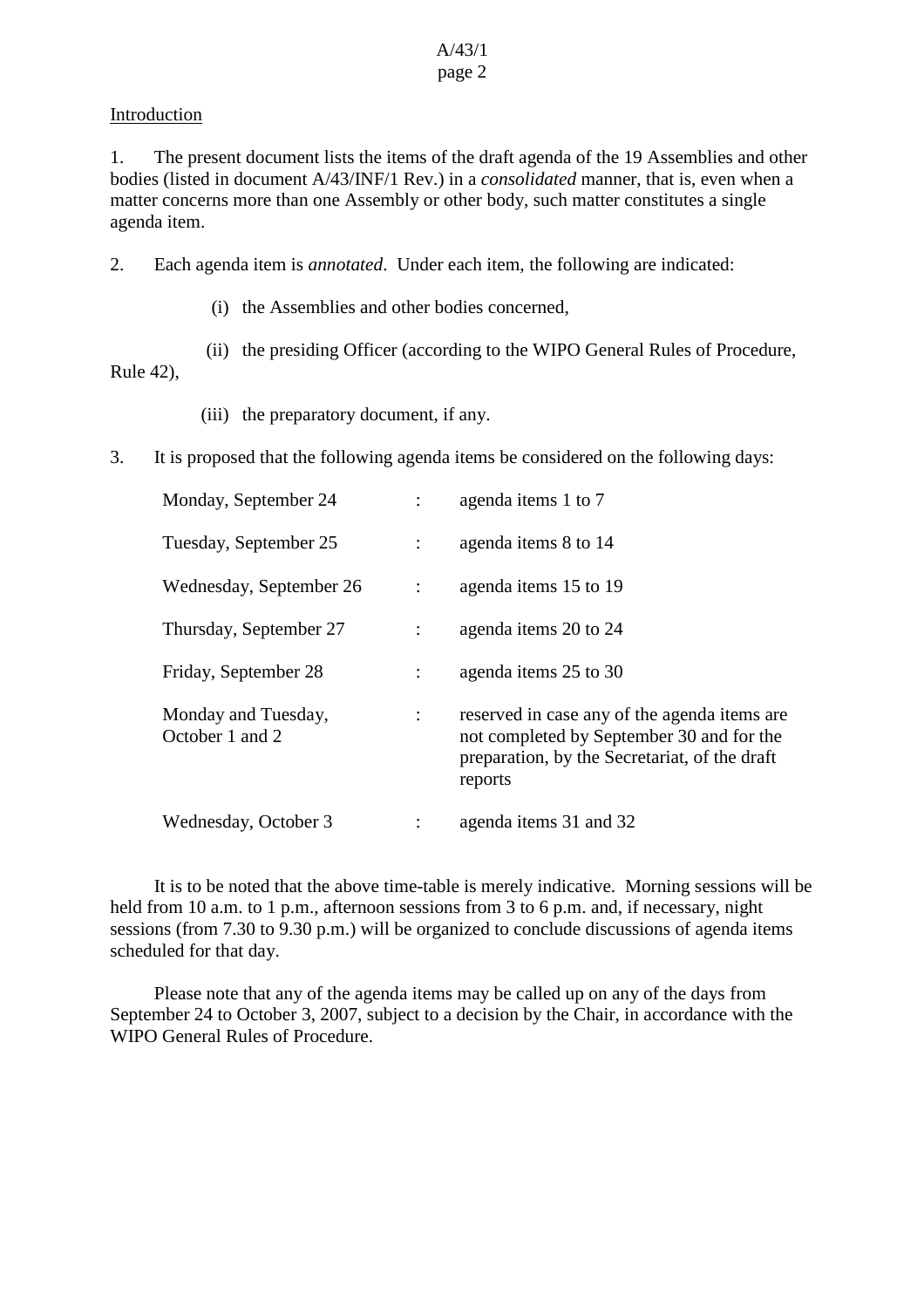# **Introduction**

1. The present document lists the items of the draft agenda of the 19 Assemblies and other bodies (listed in document A/43/INF/1 Rev.) in a *consolidated* manner, that is, even when a matter concerns more than one Assembly or other body, such matter constitutes a single agenda item.

2. Each agenda item is *annotated*. Under each item, the following are indicated:

(i) the Assemblies and other bodies concerned,

(ii) the presiding Officer (according to the WIPO General Rules of Procedure,

Rule 42),

- (iii) the preparatory document, if any.
- 3. It is proposed that the following agenda items be considered on the following days:

| Monday, September 24                   |                      | agenda items 1 to 7                                                                                                                                   |
|----------------------------------------|----------------------|-------------------------------------------------------------------------------------------------------------------------------------------------------|
| Tuesday, September 25                  |                      | agenda items 8 to 14                                                                                                                                  |
| Wednesday, September 26                |                      | agenda items 15 to 19                                                                                                                                 |
| Thursday, September 27                 |                      | agenda items 20 to 24                                                                                                                                 |
| Friday, September 28                   | $\ddot{\phantom{a}}$ | agenda items 25 to 30                                                                                                                                 |
| Monday and Tuesday,<br>October 1 and 2 | $\ddot{\phantom{a}}$ | reserved in case any of the agenda items are<br>not completed by September 30 and for the<br>preparation, by the Secretariat, of the draft<br>reports |
| Wednesday, October 3                   |                      | agenda items 31 and 32                                                                                                                                |

It is to be noted that the above time-table is merely indicative. Morning sessions will be held from 10 a.m. to 1 p.m., afternoon sessions from 3 to 6 p.m. and, if necessary, night sessions (from 7.30 to 9.30 p.m.) will be organized to conclude discussions of agenda items scheduled for that day.

Please note that any of the agenda items may be called up on any of the days from September 24 to October 3, 2007, subject to a decision by the Chair, in accordance with the WIPO General Rules of Procedure.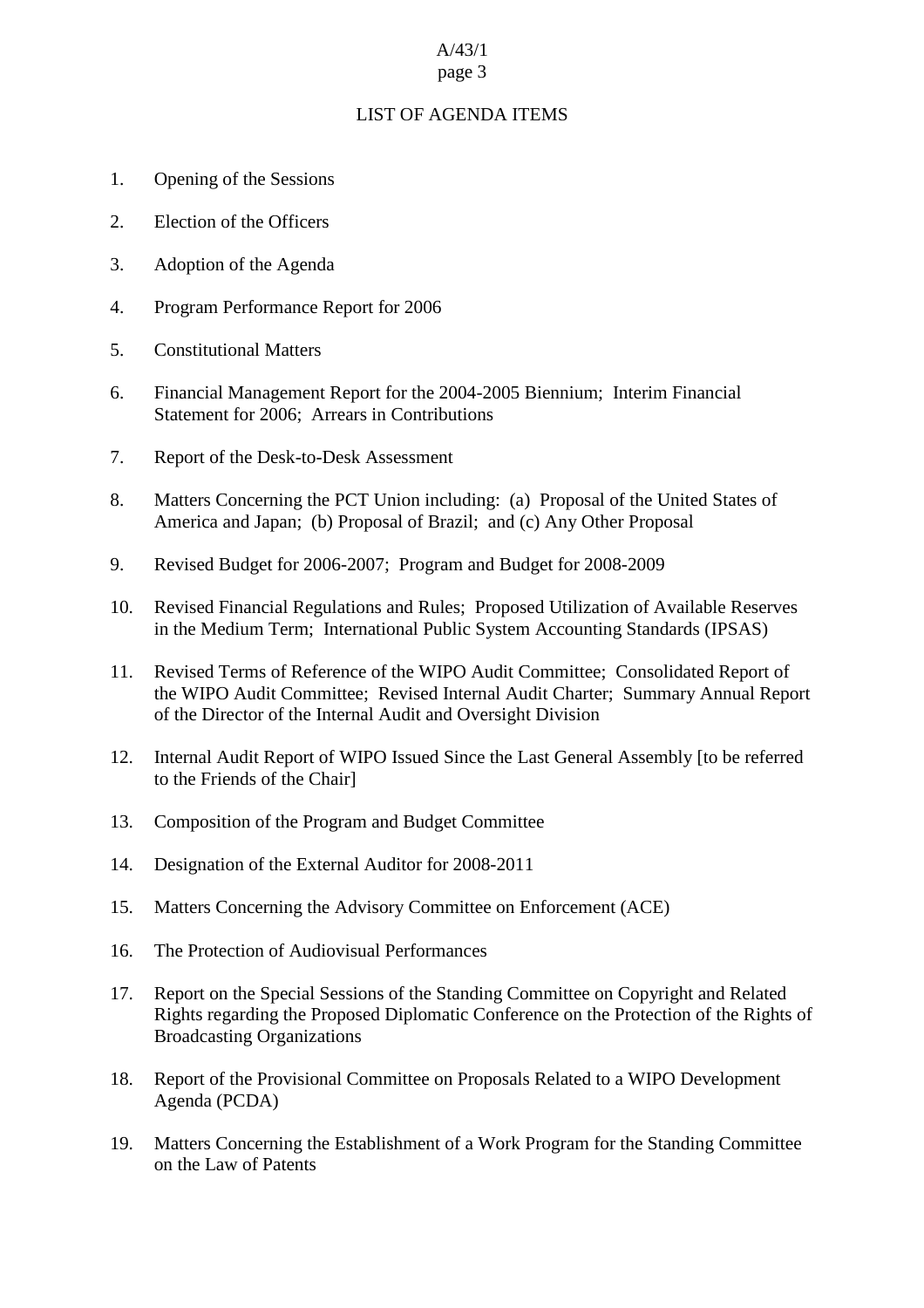# A/43/1

#### page 3

# LIST OF AGENDA ITEMS

- 1. Opening of the Sessions
- 2. Election of the Officers
- 3. Adoption of the Agenda
- 4. Program Performance Report for 2006
- 5. Constitutional Matters
- 6. Financial Management Report for the 2004-2005 Biennium; Interim Financial Statement for 2006; Arrears in Contributions
- 7. Report of the Desk-to-Desk Assessment
- 8. Matters Concerning the PCT Union including: (a) Proposal of the United States of America and Japan; (b) Proposal of Brazil; and (c) Any Other Proposal
- 9. Revised Budget for 2006-2007; Program and Budget for 2008-2009
- 10. Revised Financial Regulations and Rules; Proposed Utilization of Available Reserves in the Medium Term; International Public System Accounting Standards (IPSAS)
- 11. Revised Terms of Reference of the WIPO Audit Committee; Consolidated Report of the WIPO Audit Committee; Revised Internal Audit Charter; Summary Annual Report of the Director of the Internal Audit and Oversight Division
- 12. Internal Audit Report of WIPO Issued Since the Last General Assembly [to be referred to the Friends of the Chair]
- 13. Composition of the Program and Budget Committee
- 14. Designation of the External Auditor for 2008-2011
- 15. Matters Concerning the Advisory Committee on Enforcement (ACE)
- 16. The Protection of Audiovisual Performances
- 17. Report on the Special Sessions of the Standing Committee on Copyright and Related Rights regarding the Proposed Diplomatic Conference on the Protection of the Rights of Broadcasting Organizations
- 18. Report of the Provisional Committee on Proposals Related to a WIPO Development Agenda (PCDA)
- 19. Matters Concerning the Establishment of a Work Program for the Standing Committee on the Law of Patents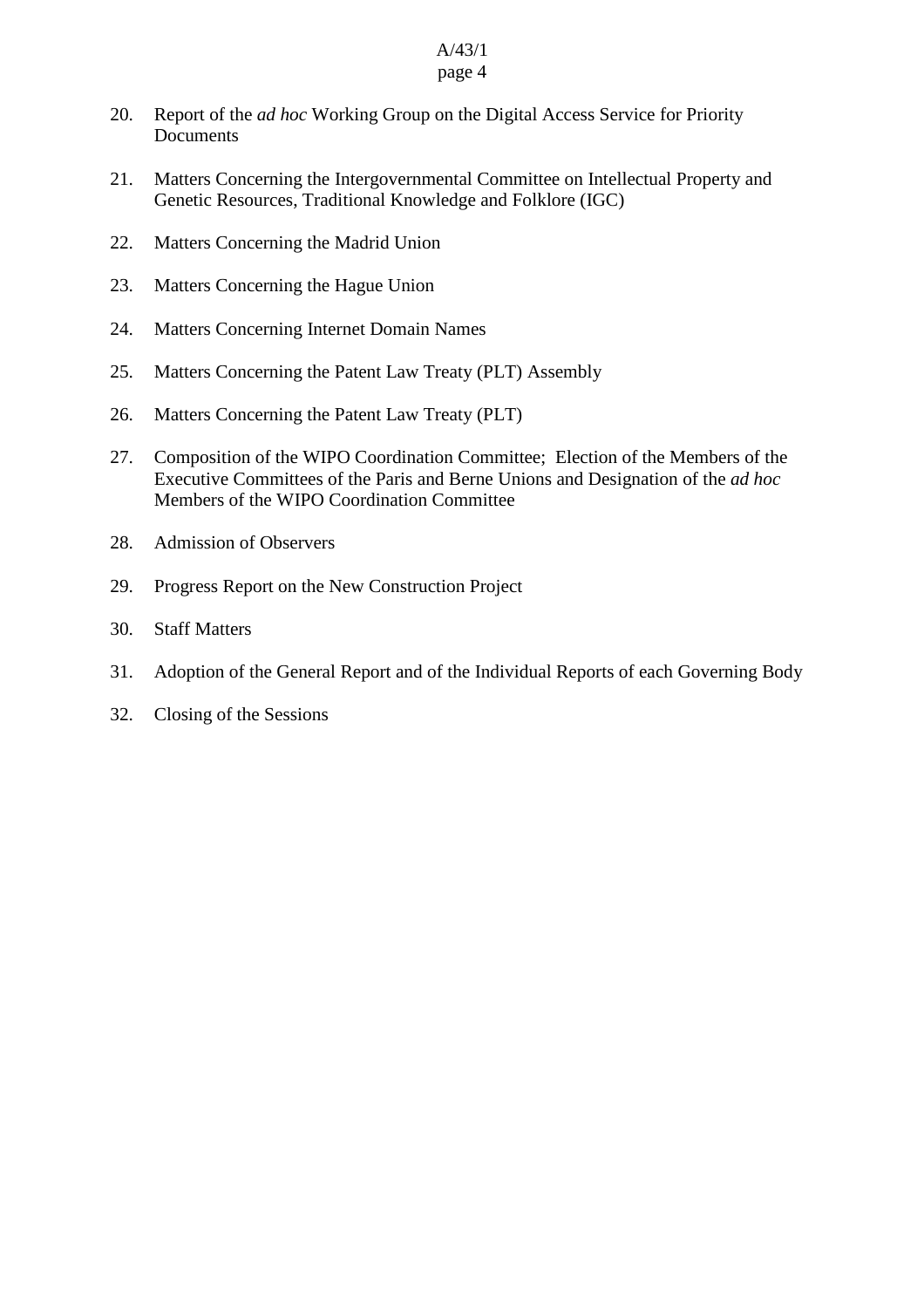# 20. Report of the *ad hoc* Working Group on the Digital Access Service for Priority Documents

- 21. Matters Concerning the Intergovernmental Committee on Intellectual Property and Genetic Resources, Traditional Knowledge and Folklore (IGC)
- 22. Matters Concerning the Madrid Union
- 23. Matters Concerning the Hague Union
- 24. Matters Concerning Internet Domain Names
- 25. Matters Concerning the Patent Law Treaty (PLT) Assembly
- 26. Matters Concerning the Patent Law Treaty (PLT)
- 27. Composition of the WIPO Coordination Committee; Election of the Members of the Executive Committees of the Paris and Berne Unions and Designation of the *ad hoc* Members of the WIPO Coordination Committee
- 28. Admission of Observers
- 29. Progress Report on the New Construction Project
- 30. Staff Matters
- 31. Adoption of the General Report and of the Individual Reports of each Governing Body
- 32. Closing of the Sessions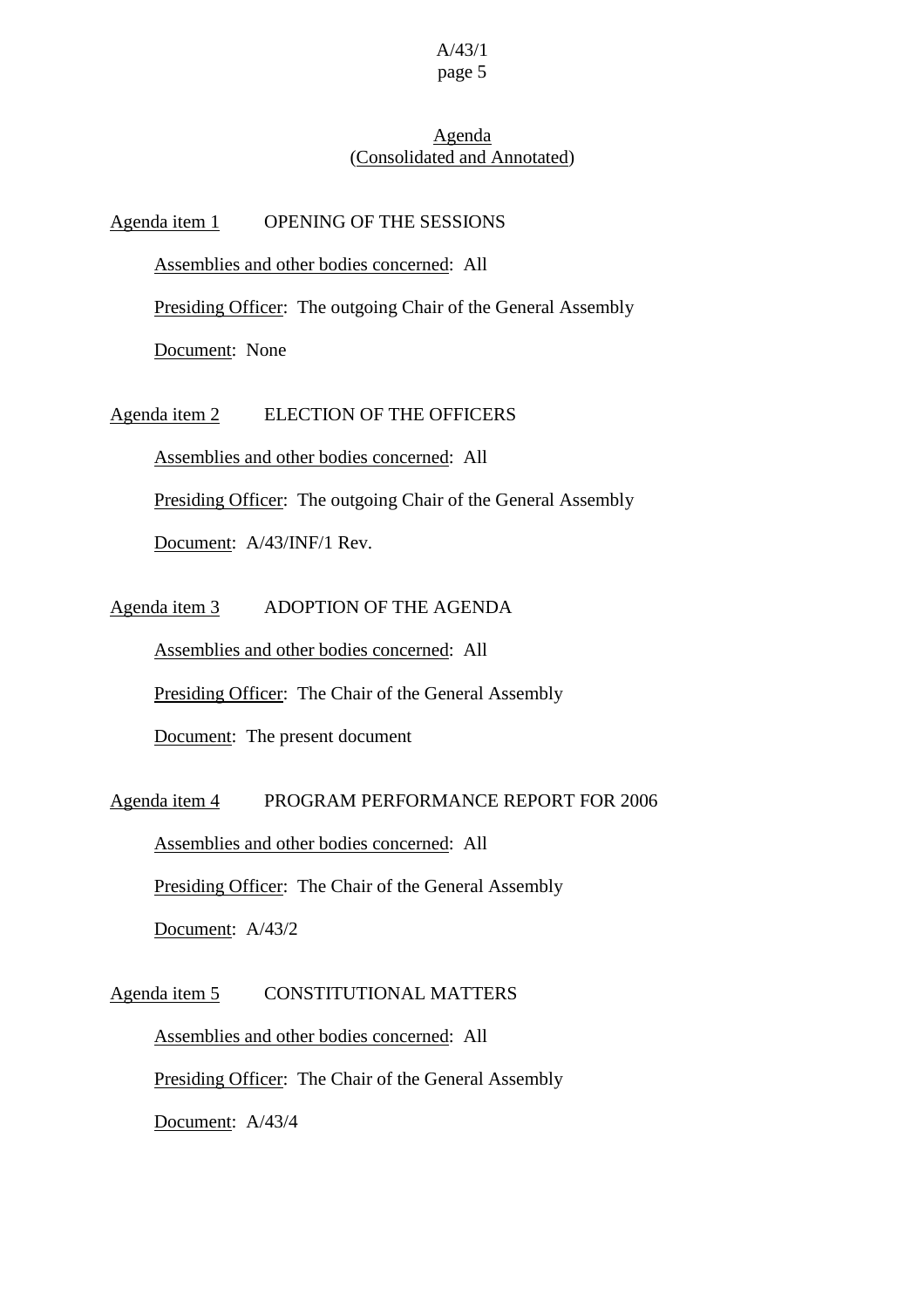# Agenda (Consolidated and Annotated)

Agenda item 1 OPENING OF THE SESSIONS

Assemblies and other bodies concerned: All

Presiding Officer: The outgoing Chair of the General Assembly

Document: None

Agenda item 2 ELECTION OF THE OFFICERS

Assemblies and other bodies concerned: All

Presiding Officer: The outgoing Chair of the General Assembly

Document: A/43/INF/1 Rev.

Agenda item 3 ADOPTION OF THE AGENDA

Assemblies and other bodies concerned: All

Presiding Officer: The Chair of the General Assembly

Document: The present document

Agenda item 4 PROGRAM PERFORMANCE REPORT FOR 2006

Assemblies and other bodies concerned: All Presiding Officer: The Chair of the General Assembly Document: A/43/2

Agenda item 5 CONSTITUTIONAL MATTERS

Assemblies and other bodies concerned: All Presiding Officer: The Chair of the General Assembly Document: A/43/4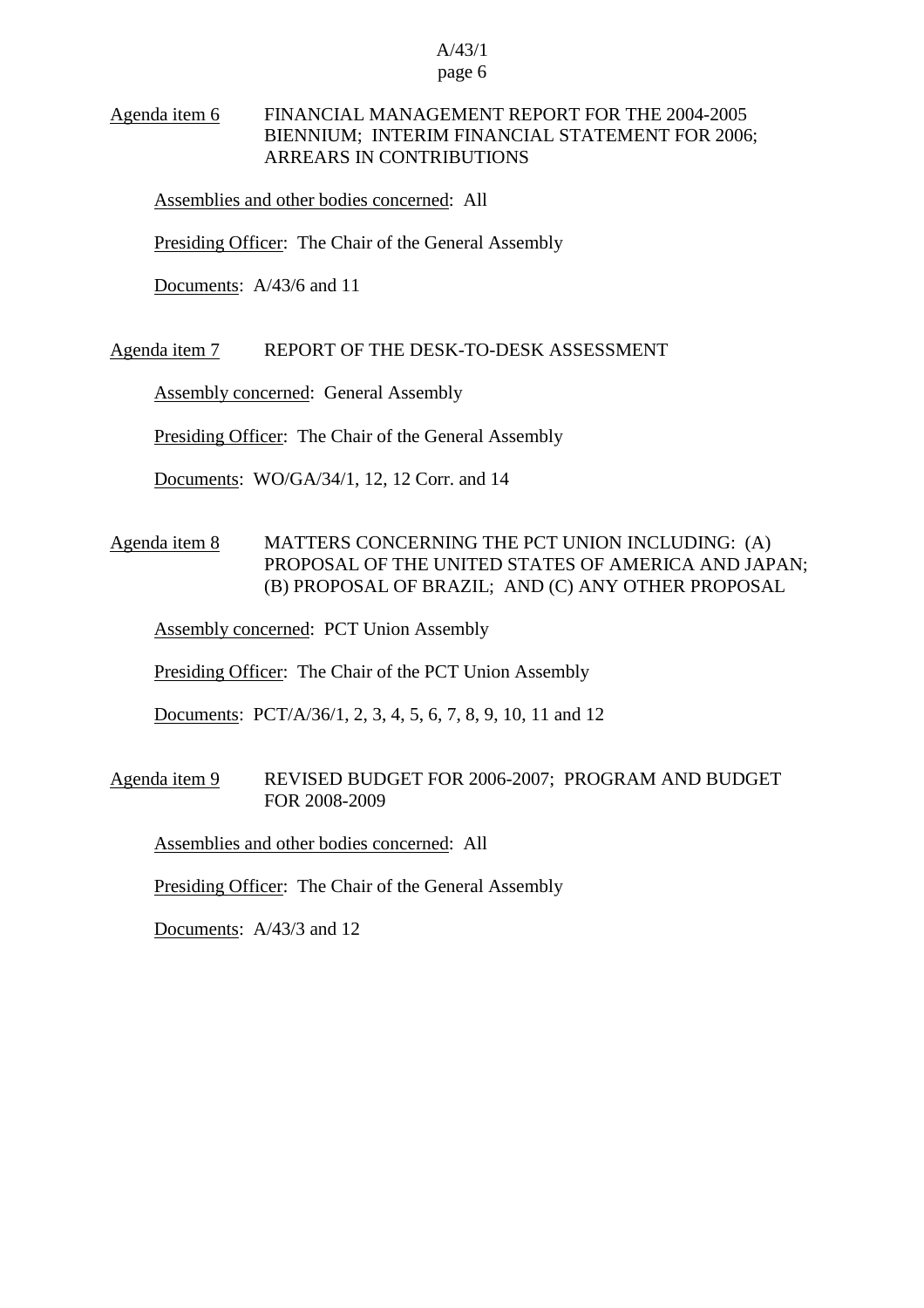# Agenda item 6 FINANCIAL MANAGEMENT REPORT FOR THE 2004-2005 BIENNIUM; INTERIM FINANCIAL STATEMENT FOR 2006; ARREARS IN CONTRIBUTIONS

Assemblies and other bodies concerned: All

Presiding Officer: The Chair of the General Assembly

Documents: A/43/6 and 11

#### Agenda item 7 REPORT OF THE DESK-TO-DESK ASSESSMENT

Assembly concerned: General Assembly

Presiding Officer: The Chair of the General Assembly

Documents: WO/GA/34/1, 12, 12 Corr. and 14

# Agenda item 8 MATTERS CONCERNING THE PCT UNION INCLUDING: (A) PROPOSAL OF THE UNITED STATES OF AMERICA AND JAPAN; (B) PROPOSAL OF BRAZIL; AND (C) ANY OTHER PROPOSAL

Assembly concerned: PCT Union Assembly

Presiding Officer: The Chair of the PCT Union Assembly

Documents: PCT/A/36/1, 2, 3, 4, 5, 6, 7, 8, 9, 10, 11 and 12

# Agenda item 9 REVISED BUDGET FOR 2006-2007; PROGRAM AND BUDGET FOR 2008-2009

Assemblies and other bodies concerned: All

Presiding Officer: The Chair of the General Assembly

Documents: A/43/3 and 12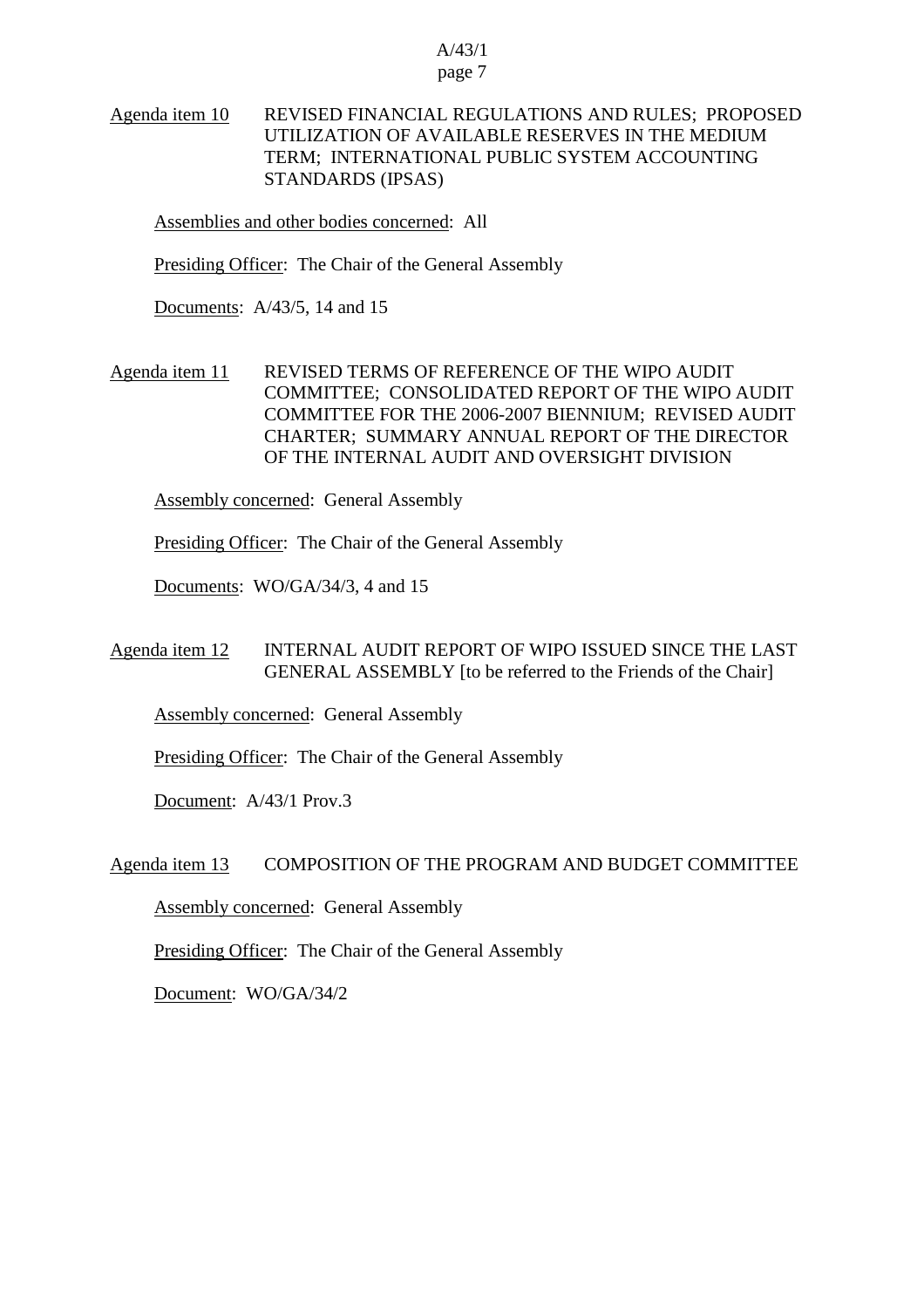# Agenda item 10 REVISED FINANCIAL REGULATIONS AND RULES; PROPOSED UTILIZATION OF AVAILABLE RESERVES IN THE MEDIUM TERM; INTERNATIONAL PUBLIC SYSTEM ACCOUNTING STANDARDS (IPSAS)

Assemblies and other bodies concerned: All

Presiding Officer: The Chair of the General Assembly

Documents: A/43/5, 14 and 15

Agenda item 11 REVISED TERMS OF REFERENCE OF THE WIPO AUDIT COMMITTEE; CONSOLIDATED REPORT OF THE WIPO AUDIT COMMITTEE FOR THE 2006-2007 BIENNIUM; REVISED AUDIT CHARTER; SUMMARY ANNUAL REPORT OF THE DIRECTOR OF THE INTERNAL AUDIT AND OVERSIGHT DIVISION

Assembly concerned: General Assembly

Presiding Officer: The Chair of the General Assembly

Documents: WO/GA/34/3, 4 and 15

# Agenda item 12 INTERNAL AUDIT REPORT OF WIPO ISSUED SINCE THE LAST GENERAL ASSEMBLY [to be referred to the Friends of the Chair]

Assembly concerned: General Assembly

Presiding Officer: The Chair of the General Assembly

Document: A/43/1 Prov.3

## Agenda item 13 COMPOSITION OF THE PROGRAM AND BUDGET COMMITTEE

Assembly concerned: General Assembly

Presiding Officer: The Chair of the General Assembly

Document: WO/GA/34/2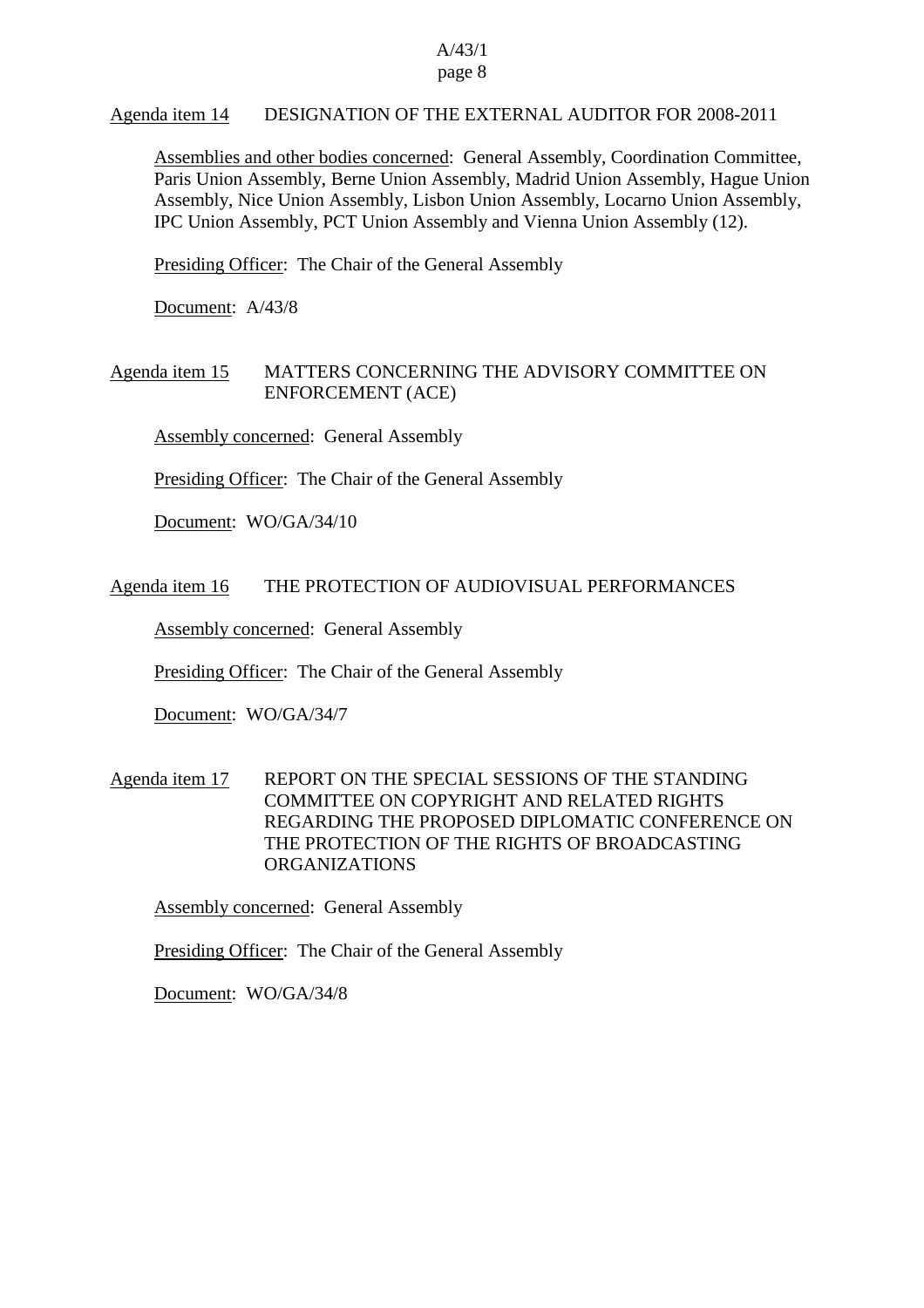# Agenda item 14 DESIGNATION OF THE EXTERNAL AUDITOR FOR 2008-2011

Assemblies and other bodies concerned: General Assembly, Coordination Committee, Paris Union Assembly, Berne Union Assembly, Madrid Union Assembly, Hague Union Assembly, Nice Union Assembly, Lisbon Union Assembly, Locarno Union Assembly, IPC Union Assembly, PCT Union Assembly and Vienna Union Assembly (12).

Presiding Officer: The Chair of the General Assembly

Document: A/43/8

# Agenda item 15 MATTERS CONCERNING THE ADVISORY COMMITTEE ON ENFORCEMENT (ACE)

Assembly concerned: General Assembly

Presiding Officer: The Chair of the General Assembly

Document: WO/GA/34/10

#### Agenda item 16 THE PROTECTION OF AUDIOVISUAL PERFORMANCES

Assembly concerned: General Assembly

Presiding Officer: The Chair of the General Assembly

Document: WO/GA/34/7

# Agenda item 17 REPORT ON THE SPECIAL SESSIONS OF THE STANDING COMMITTEE ON COPYRIGHT AND RELATED RIGHTS REGARDING THE PROPOSED DIPLOMATIC CONFERENCE ON THE PROTECTION OF THE RIGHTS OF BROADCASTING ORGANIZATIONS

Assembly concerned: General Assembly

Presiding Officer: The Chair of the General Assembly

Document: WO/GA/34/8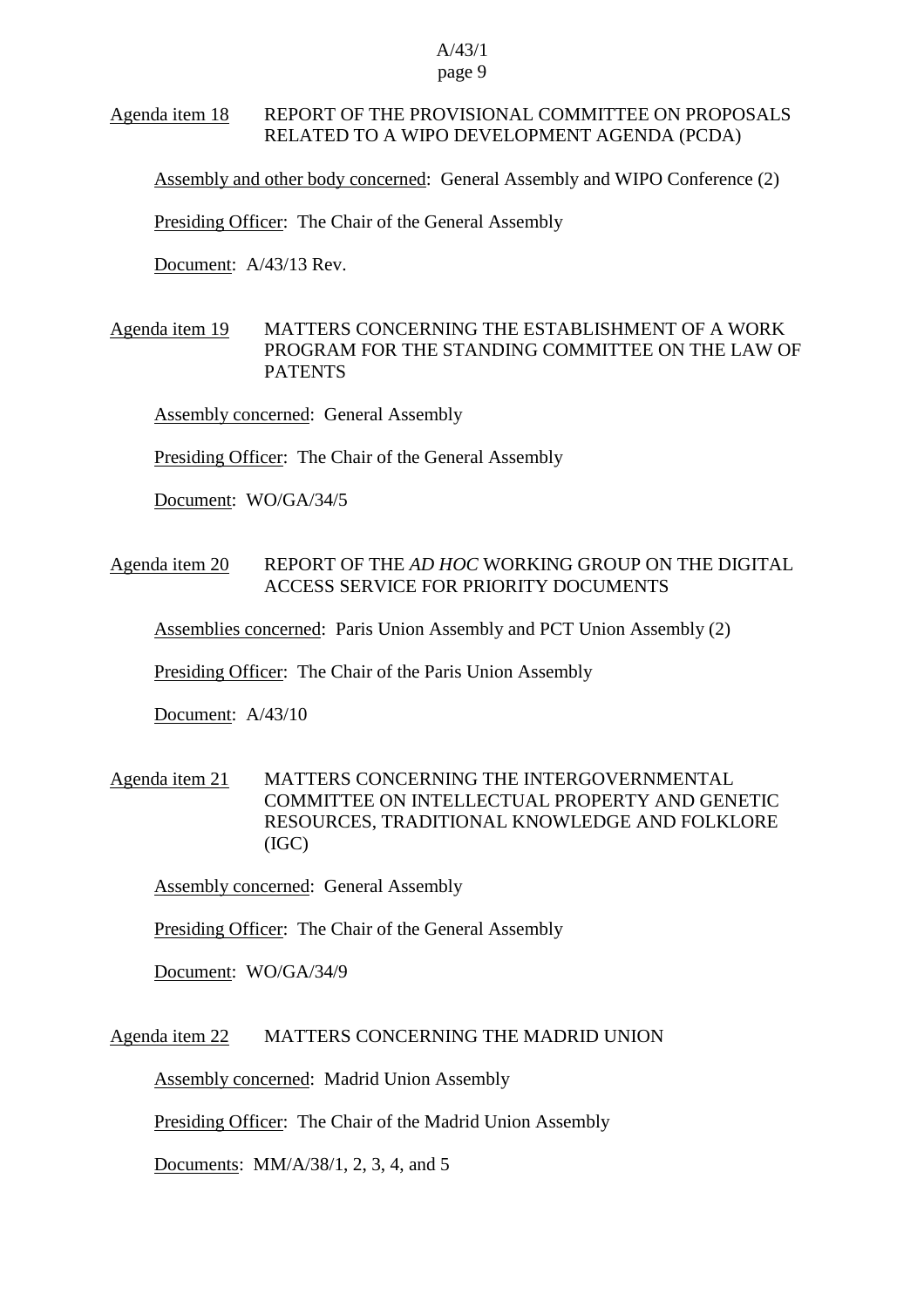# Agenda item 18 REPORT OF THE PROVISIONAL COMMITTEE ON PROPOSALS RELATED TO A WIPO DEVELOPMENT AGENDA (PCDA)

Assembly and other body concerned: General Assembly and WIPO Conference (2)

Presiding Officer: The Chair of the General Assembly

Document: A/43/13 Rev.

Agenda item 19 MATTERS CONCERNING THE ESTABLISHMENT OF A WORK PROGRAM FOR THE STANDING COMMITTEE ON THE LAW OF **PATENTS** 

Assembly concerned: General Assembly

Presiding Officer: The Chair of the General Assembly

Document: WO/GA/34/5

## Agenda item 20 REPORT OF THE *AD HOC* WORKING GROUP ON THE DIGITAL ACCESS SERVICE FOR PRIORITY DOCUMENTS

Assemblies concerned: Paris Union Assembly and PCT Union Assembly (2)

Presiding Officer: The Chair of the Paris Union Assembly

Document: A/43/10

# Agenda item 21 MATTERS CONCERNING THE INTERGOVERNMENTAL COMMITTEE ON INTELLECTUAL PROPERTY AND GENETIC RESOURCES, TRADITIONAL KNOWLEDGE AND FOLKLORE (IGC)

Assembly concerned: General Assembly

Presiding Officer: The Chair of the General Assembly

Document: WO/GA/34/9

#### Agenda item 22 MATTERS CONCERNING THE MADRID UNION

Assembly concerned: Madrid Union Assembly

Presiding Officer: The Chair of the Madrid Union Assembly

Documents: MM/A/38/1, 2, 3, 4, and 5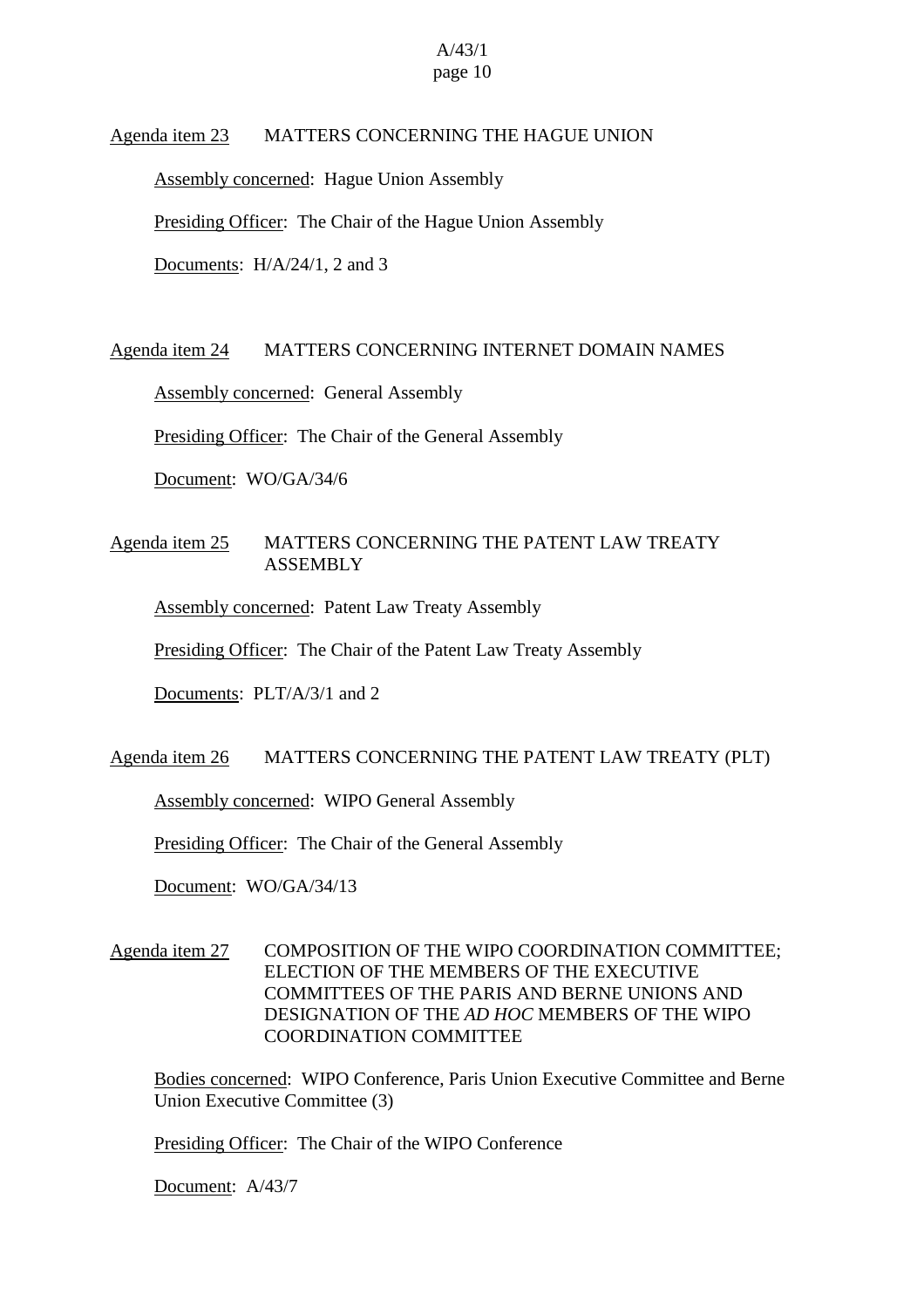#### Agenda item 23 MATTERS CONCERNING THE HAGUE UNION

Assembly concerned: Hague Union Assembly

Presiding Officer: The Chair of the Hague Union Assembly

Documents: H/A/24/1, 2 and 3

#### Agenda item 24 MATTERS CONCERNING INTERNET DOMAIN NAMES

Assembly concerned: General Assembly

Presiding Officer: The Chair of the General Assembly

Document: WO/GA/34/6

# Agenda item 25 MATTERS CONCERNING THE PATENT LAW TREATY ASSEMBLY

Assembly concerned: Patent Law Treaty Assembly

Presiding Officer: The Chair of the Patent Law Treaty Assembly

Documents: PLT/A/3/1 and 2

# Agenda item 26 MATTERS CONCERNING THE PATENT LAW TREATY (PLT)

Assembly concerned: WIPO General Assembly

Presiding Officer: The Chair of the General Assembly

Document: WO/GA/34/13

# Agenda item 27 COMPOSITION OF THE WIPO COORDINATION COMMITTEE; ELECTION OF THE MEMBERS OF THE EXECUTIVE COMMITTEES OF THE PARIS AND BERNE UNIONS AND DESIGNATION OF THE *AD HOC* MEMBERS OF THE WIPO COORDINATION COMMITTEE

Bodies concerned: WIPO Conference, Paris Union Executive Committee and Berne Union Executive Committee (3)

Presiding Officer: The Chair of the WIPO Conference

Document: A/43/7